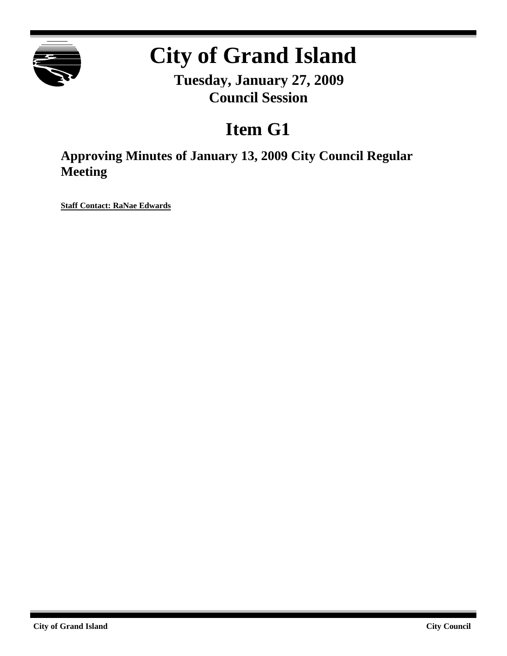

# **City of Grand Island**

**Tuesday, January 27, 2009 Council Session**

# **Item G1**

**Approving Minutes of January 13, 2009 City Council Regular Meeting**

**Staff Contact: RaNae Edwards**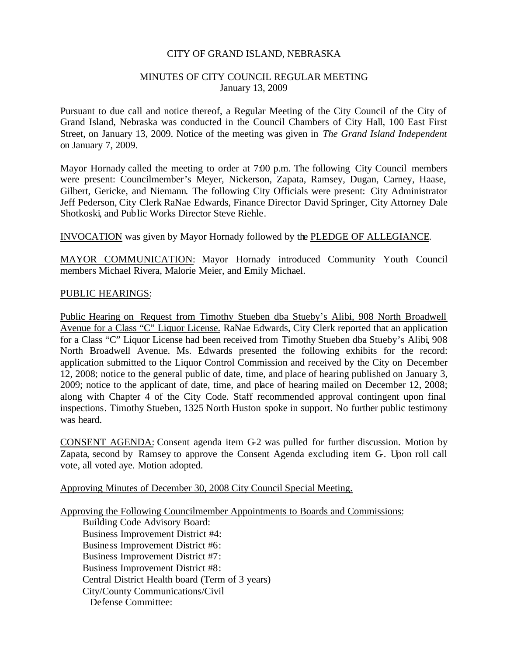#### CITY OF GRAND ISLAND, NEBRASKA

#### MINUTES OF CITY COUNCIL REGULAR MEETING January 13, 2009

Pursuant to due call and notice thereof, a Regular Meeting of the City Council of the City of Grand Island, Nebraska was conducted in the Council Chambers of City Hall, 100 East First Street, on January 13, 2009. Notice of the meeting was given in *The Grand Island Independent* on January 7, 2009.

Mayor Hornady called the meeting to order at 7:00 p.m. The following City Council members were present: Councilmember's Meyer, Nickerson, Zapata, Ramsey, Dugan, Carney, Haase, Gilbert, Gericke, and Niemann. The following City Officials were present: City Administrator Jeff Pederson, City Clerk RaNae Edwards, Finance Director David Springer, City Attorney Dale Shotkoski, and Public Works Director Steve Riehle.

#### INVOCATION was given by Mayor Hornady followed by the PLEDGE OF ALLEGIANCE.

MAYOR COMMUNICATION: Mayor Hornady introduced Community Youth Council members Michael Rivera, Malorie Meier, and Emily Michael.

#### PUBLIC HEARINGS:

Public Hearing on Request from Timothy Stueben dba Stueby's Alibi, 908 North Broadwell Avenue for a Class "C" Liquor License. RaNae Edwards, City Clerk reported that an application for a Class "C" Liquor License had been received from Timothy Stueben dba Stueby's Alibi, 908 North Broadwell Avenue. Ms. Edwards presented the following exhibits for the record: application submitted to the Liquor Control Commission and received by the City on December 12, 2008; notice to the general public of date, time, and place of hearing published on January 3, 2009; notice to the applicant of date, time, and place of hearing mailed on December 12, 2008; along with Chapter 4 of the City Code. Staff recommended approval contingent upon final inspections. Timothy Stueben, 1325 North Huston spoke in support. No further public testimony was heard.

CONSENT AGENDA: Consent agenda item G-2 was pulled for further discussion. Motion by Zapata, second by Ramsey to approve the Consent Agenda excluding item G-. Upon roll call vote, all voted aye. Motion adopted.

Approving Minutes of December 30, 2008 City Council Special Meeting.

Approving the Following Councilmember Appointments to Boards and Commissions:

Building Code Advisory Board: Business Improvement District #4: Business Improvement District #6: Business Improvement District #7: Business Improvement District #8: Central District Health board (Term of 3 years) City/County Communications/Civil Defense Committee: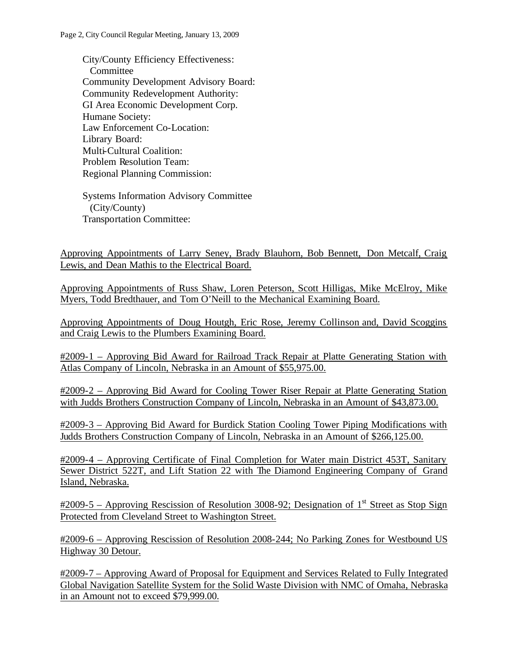City/County Efficiency Effectiveness: **Committee** Community Development Advisory Board: Community Redevelopment Authority: GI Area Economic Development Corp. Humane Society: Law Enforcement Co-Location: Library Board: Multi-Cultural Coalition: Problem Resolution Team: Regional Planning Commission:

Systems Information Advisory Committee (City/County) Transportation Committee:

Approving Appointments of Larry Seney, Brady Blauhorn, Bob Bennett, Don Metcalf, Craig Lewis, and Dean Mathis to the Electrical Board.

Approving Appointments of Russ Shaw, Loren Peterson, Scott Hilligas, Mike McElroy, Mike Myers, Todd Bredthauer, and Tom O'Neill to the Mechanical Examining Board.

Approving Appointments of Doug Houtgh, Eric Rose, Jeremy Collinson and, David Scoggins and Craig Lewis to the Plumbers Examining Board.

#2009-1 – Approving Bid Award for Railroad Track Repair at Platte Generating Station with Atlas Company of Lincoln, Nebraska in an Amount of \$55,975.00.

#2009-2 – Approving Bid Award for Cooling Tower Riser Repair at Platte Generating Station with Judds Brothers Construction Company of Lincoln, Nebraska in an Amount of \$43,873.00.

#2009-3 – Approving Bid Award for Burdick Station Cooling Tower Piping Modifications with Judds Brothers Construction Company of Lincoln, Nebraska in an Amount of \$266,125.00.

#2009-4 – Approving Certificate of Final Completion for Water main District 453T, Sanitary Sewer District 522T, and Lift Station 22 with The Diamond Engineering Company of Grand Island, Nebraska.

 $\text{\#2009-5}$  – Approving Rescission of Resolution 3008-92; Designation of 1<sup>st</sup> Street as Stop Sign Protected from Cleveland Street to Washington Street.

#2009-6 – Approving Rescission of Resolution 2008-244; No Parking Zones for Westbound US Highway 30 Detour.

#2009-7 – Approving Award of Proposal for Equipment and Services Related to Fully Integrated Global Navigation Satellite System for the Solid Waste Division with NMC of Omaha, Nebraska in an Amount not to exceed \$79,999.00.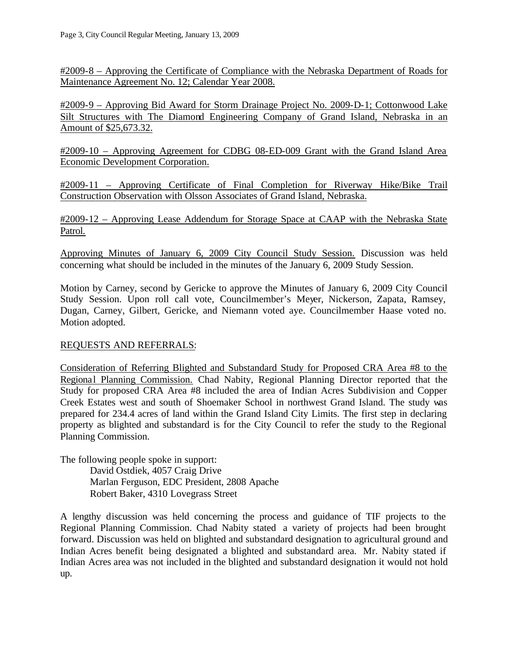#2009-8 – Approving the Certificate of Compliance with the Nebraska Department of Roads for Maintenance Agreement No. 12; Calendar Year 2008.

#2009-9 – Approving Bid Award for Storm Drainage Project No. 2009-D-1; Cottonwood Lake Silt Structures with The Diamond Engineering Company of Grand Island, Nebraska in an Amount of \$25,673.32.

#2009-10 – Approving Agreement for CDBG 08-ED-009 Grant with the Grand Island Area Economic Development Corporation.

#2009-11 – Approving Certificate of Final Completion for Riverway Hike/Bike Trail Construction Observation with Olsson Associates of Grand Island, Nebraska.

#2009-12 – Approving Lease Addendum for Storage Space at CAAP with the Nebraska State Patrol.

Approving Minutes of January 6, 2009 City Council Study Session. Discussion was held concerning what should be included in the minutes of the January 6, 2009 Study Session.

Motion by Carney, second by Gericke to approve the Minutes of January 6, 2009 City Council Study Session. Upon roll call vote, Councilmember's Meyer, Nickerson, Zapata, Ramsey, Dugan, Carney, Gilbert, Gericke, and Niemann voted aye. Councilmember Haase voted no. Motion adopted.

## REQUESTS AND REFERRALS:

Consideration of Referring Blighted and Substandard Study for Proposed CRA Area #8 to the Regional Planning Commission. Chad Nabity, Regional Planning Director reported that the Study for proposed CRA Area #8 included the area of Indian Acres Subdivision and Copper Creek Estates west and south of Shoemaker School in northwest Grand Island. The study was prepared for 234.4 acres of land within the Grand Island City Limits. The first step in declaring property as blighted and substandard is for the City Council to refer the study to the Regional Planning Commission.

The following people spoke in support: David Ostdiek, 4057 Craig Drive Marlan Ferguson, EDC President, 2808 Apache Robert Baker, 4310 Lovegrass Street

A lengthy discussion was held concerning the process and guidance of TIF projects to the Regional Planning Commission. Chad Nabity stated a variety of projects had been brought forward. Discussion was held on blighted and substandard designation to agricultural ground and Indian Acres benefit being designated a blighted and substandard area. Mr. Nabity stated if Indian Acres area was not included in the blighted and substandard designation it would not hold up.